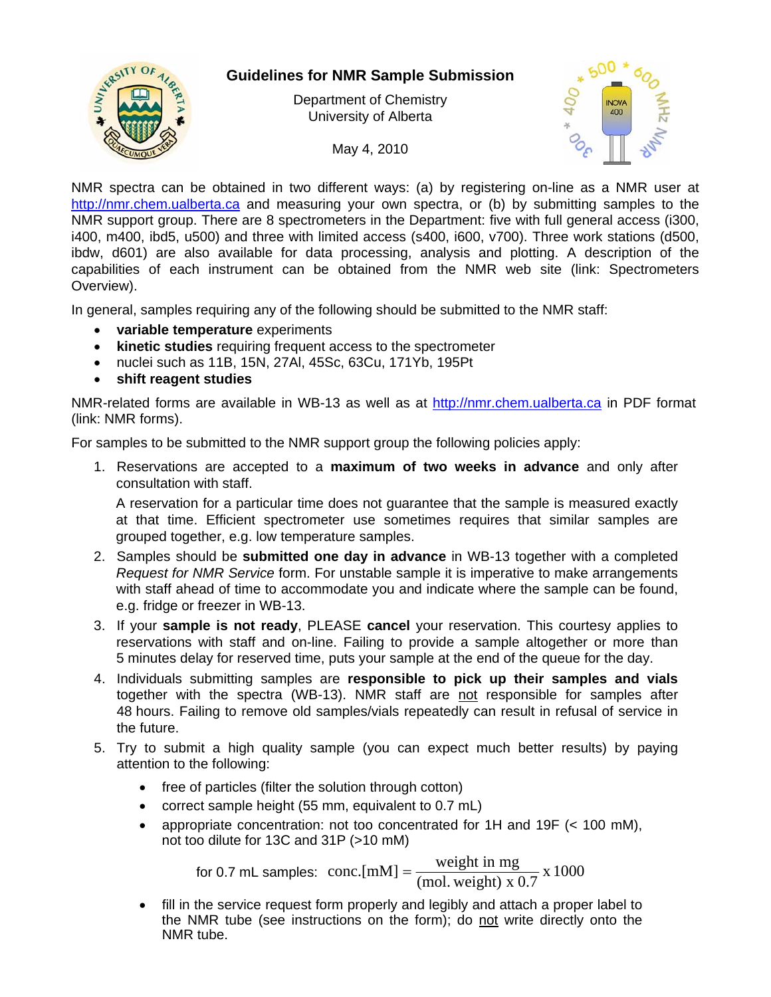

## **Guidelines for NMR Sample Submission**

Department of Chemistry University of Alberta

May 4, 2010



NMR spectra can be obtained in two different ways: (a) by registering on-line as a NMR user at [http://nmr.chem.ualberta.ca](http://nmr.chem.ualberta.ca/) and measuring your own spectra, or (b) by submitting samples to the NMR support group. There are 8 spectrometers in the Department: five with full general access (i300, i400, m400, ibd5, u500) and three with limited access (s400, i600, v700). Three work stations (d500, ibdw, d601) are also available for data processing, analysis and plotting. A description of the capabilities of each instrument can be obtained from the NMR web site (link: Spectrometers Overview).

In general, samples requiring any of the following should be submitted to the NMR staff:

- **variable temperature** experiments
- **kinetic studies** requiring frequent access to the spectrometer
- nuclei such as 11B, 15N, 27Al, 45Sc, 63Cu, 171Yb, 195Pt
- **shift reagent studies**

NMR-related forms are available in WB-13 as well as at [http://nmr.chem.ualberta.ca](http://nmr.chem.ualberta.ca/) in PDF format (link: NMR forms).

For samples to be submitted to the NMR support group the following policies apply:

1. Reservations are accepted to a **maximum of two weeks in advance** and only after consultation with staff.

A reservation for a particular time does not guarantee that the sample is measured exactly at that time. Efficient spectrometer use sometimes requires that similar samples are grouped together, e.g. low temperature samples.

- 2. Samples should be **submitted one day in advance** in WB-13 together with a completed *Request for NMR Service* form. For unstable sample it is imperative to make arrangements with staff ahead of time to accommodate you and indicate where the sample can be found, e.g. fridge or freezer in WB-13.
- 3. If your **sample is not ready**, PLEASE **cancel** your reservation. This courtesy applies to reservations with staff and on-line. Failing to provide a sample altogether or more than 5 minutes delay for reserved time, puts your sample at the end of the queue for the day.
- 4. Individuals submitting samples are **responsible to pick up their samples and vials**  together with the spectra (WB-13). NMR staff are not responsible for samples after 48 hours. Failing to remove old samples/vials repeatedly can result in refusal of service in the future.
- 5. Try to submit a high quality sample (you can expect much better results) by paying attention to the following:
	- free of particles (filter the solution through cotton)
	- correct sample height (55 mm, equivalent to 0.7 mL)
	- appropriate concentration: not too concentrated for 1H and 19F (< 100 mM), not too dilute for 13C and 31P (>10 mM)

for 0.7 mL samples:  $\text{conc.}[mM] = \frac{\text{weight in mg}}{(\text{mol. weight}) \times 0.7} \times 1000$ 

 fill in the service request form properly and legibly and attach a proper label to the NMR tube (see instructions on the form); do not write directly onto the NMR tube.